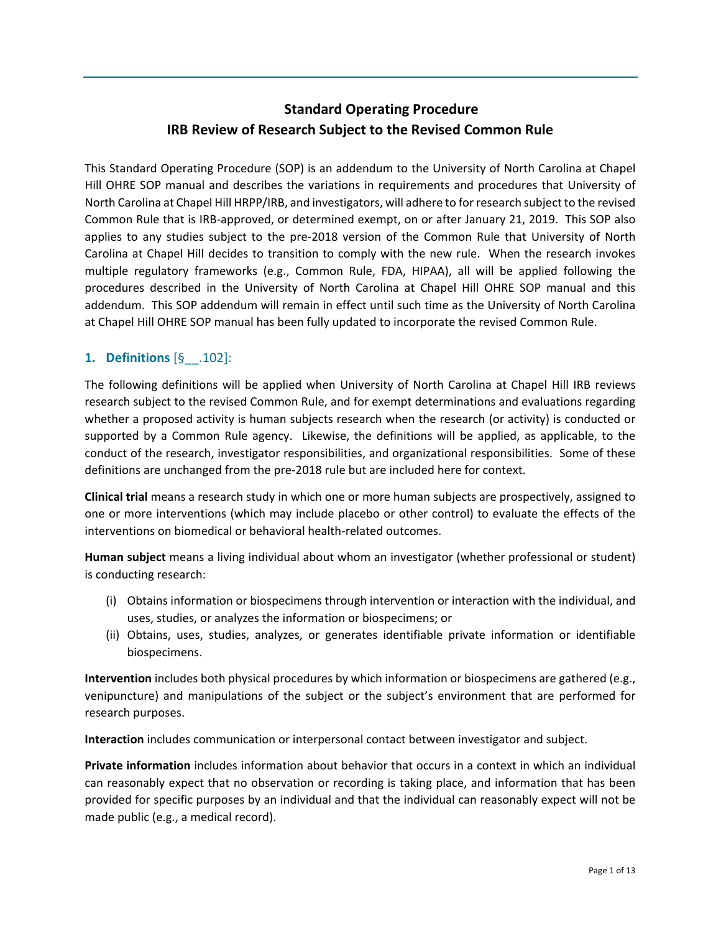# **Standard Operating Procedure IRB Review of Research Subject to the Revised Common Rule**

This Standard Operating Procedure (SOP) is an addendum to the University of North Carolina at Chapel Hill OHRE SOP manual and describes the variations in requirements and procedures that University of North Carolina at Chapel Hill HRPP/IRB, and investigators, will adhere to for research subject to the revised Common Rule that is IRB-approved, or determined exempt, on or after January 21, 2019. This SOP also applies to any studies subject to the pre-2018 version of the Common Rule that University of North Carolina at Chapel Hill decides to transition to comply with the new rule. When the research invokes multiple regulatory frameworks (e.g., Common Rule, FDA, HIPAA), all will be applied following the procedures described in the University of North Carolina at Chapel Hill OHRE SOP manual and this addendum. This SOP addendum will remain in effect until such time as the University of North Carolina at Chapel Hill OHRE SOP manual has been fully updated to incorporate the revised Common Rule.

# **1. Definitions** [§\_\_.102]:

The following definitions will be applied when University of North Carolina at Chapel Hill IRB reviews research subject to the revised Common Rule, and for exempt determinations and evaluations regarding whether a proposed activity is human subjects research when the research (or activity) is conducted or supported by a Common Rule agency. Likewise, the definitions will be applied, as applicable, to the conduct of the research, investigator responsibilities, and organizational responsibilities. Some of these definitions are unchanged from the pre-2018 rule but are included here for context.

**Clinical trial** means a research study in which one or more human subjects are prospectively, assigned to one or more interventions (which may include placebo or other control) to evaluate the effects of the interventions on biomedical or behavioral health-related outcomes.

**Human subject** means a living individual about whom an investigator (whether professional or student) is conducting research:

- (i) Obtains information or biospecimens through intervention or interaction with the individual, and uses, studies, or analyzes the information or biospecimens; or
- (ii) Obtains, uses, studies, analyzes, or generates identifiable private information or identifiable biospecimens.

**Intervention** includes both physical procedures by which information or biospecimens are gathered (e.g., venipuncture) and manipulations of the subject or the subject's environment that are performed for research purposes.

**Interaction** includes communication or interpersonal contact between investigator and subject.

**Private information** includes information about behavior that occurs in a context in which an individual can reasonably expect that no observation or recording is taking place, and information that has been provided for specific purposes by an individual and that the individual can reasonably expect will not be made public (e.g., a medical record).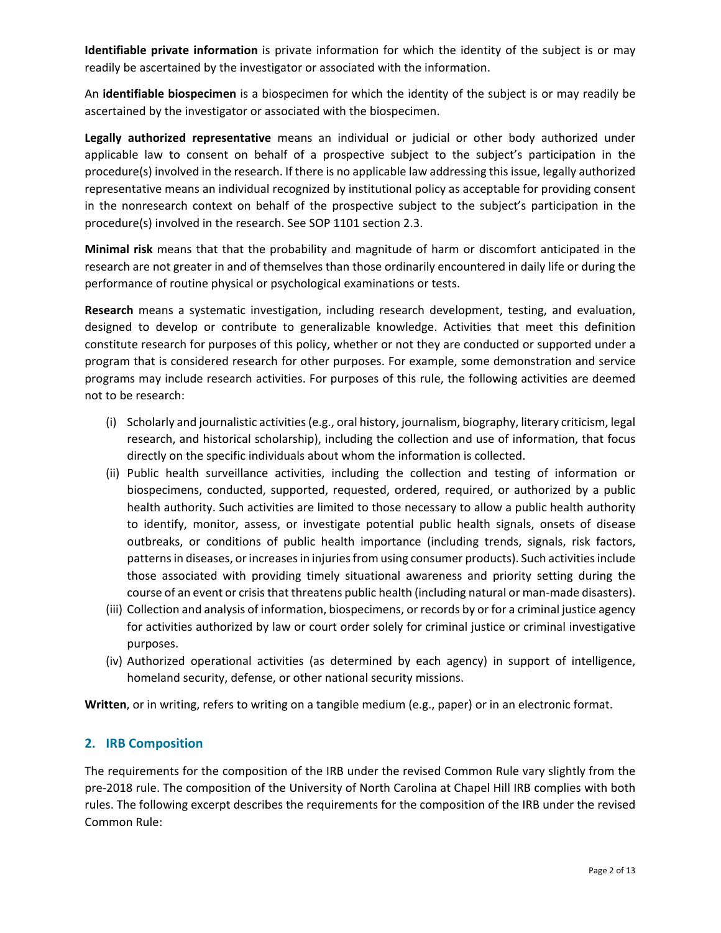**Identifiable private information** is private information for which the identity of the subject is or may readily be ascertained by the investigator or associated with the information.

An **identifiable biospecimen** is a biospecimen for which the identity of the subject is or may readily be ascertained by the investigator or associated with the biospecimen.

**Legally authorized representative** means an individual or judicial or other body authorized under applicable law to consent on behalf of a prospective subject to the subject's participation in the procedure(s) involved in the research. If there is no applicable law addressing this issue, legally authorized representative means an individual recognized by institutional policy as acceptable for providing consent in the nonresearch context on behalf of the prospective subject to the subject's participation in the procedure(s) involved in the research. See SOP 1101 section 2.3.

**Minimal risk** means that that the probability and magnitude of harm or discomfort anticipated in the research are not greater in and of themselves than those ordinarily encountered in daily life or during the performance of routine physical or psychological examinations or tests.

**Research** means a systematic investigation, including research development, testing, and evaluation, designed to develop or contribute to generalizable knowledge. Activities that meet this definition constitute research for purposes of this policy, whether or not they are conducted or supported under a program that is considered research for other purposes. For example, some demonstration and service programs may include research activities. For purposes of this rule, the following activities are deemed not to be research:

- (i) Scholarly and journalistic activities (e.g., oral history, journalism, biography, literary criticism, legal research, and historical scholarship), including the collection and use of information, that focus directly on the specific individuals about whom the information is collected.
- (ii) Public health surveillance activities, including the collection and testing of information or biospecimens, conducted, supported, requested, ordered, required, or authorized by a public health authority. Such activities are limited to those necessary to allow a public health authority to identify, monitor, assess, or investigate potential public health signals, onsets of disease outbreaks, or conditions of public health importance (including trends, signals, risk factors, patterns in diseases, or increases in injuries from using consumer products). Such activities include those associated with providing timely situational awareness and priority setting during the course of an event or crisis that threatens public health (including natural or man-made disasters).
- (iii) Collection and analysis of information, biospecimens, or records by or for a criminal justice agency for activities authorized by law or court order solely for criminal justice or criminal investigative purposes.
- (iv) Authorized operational activities (as determined by each agency) in support of intelligence, homeland security, defense, or other national security missions.

**Written**, or in writing, refers to writing on a tangible medium (e.g., paper) or in an electronic format.

# **2. IRB Composition**

The requirements for the composition of the IRB under the revised Common Rule vary slightly from the pre-2018 rule. The composition of the University of North Carolina at Chapel Hill IRB complies with both rules. The following excerpt describes the requirements for the composition of the IRB under the revised Common Rule: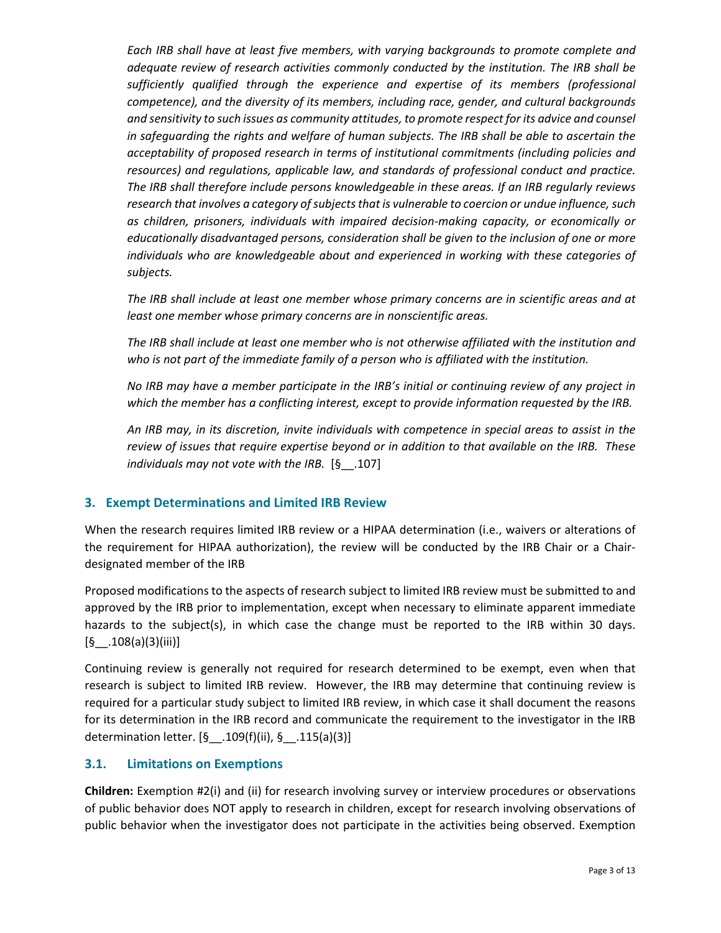*Each IRB shall have at least five members, with varying backgrounds to promote complete and adequate review of research activities commonly conducted by the institution. The IRB shall be sufficiently qualified through the experience and expertise of its members (professional competence), and the diversity of its members, including race, gender, and cultural backgrounds and sensitivity to such issues as community attitudes, to promote respect for its advice and counsel in safeguarding the rights and welfare of human subjects. The IRB shall be able to ascertain the acceptability of proposed research in terms of institutional commitments (including policies and resources) and regulations, applicable law, and standards of professional conduct and practice. The IRB shall therefore include persons knowledgeable in these areas. If an IRB regularly reviews research that involves a category of subjects that is vulnerable to coercion or undue influence, such as children, prisoners, individuals with impaired decision-making capacity, or economically or educationally disadvantaged persons, consideration shall be given to the inclusion of one or more individuals who are knowledgeable about and experienced in working with these categories of subjects.*

*The IRB shall include at least one member whose primary concerns are in scientific areas and at least one member whose primary concerns are in nonscientific areas.* 

*The IRB shall include at least one member who is not otherwise affiliated with the institution and who is not part of the immediate family of a person who is affiliated with the institution.*

*No IRB may have a member participate in the IRB's initial or continuing review of any project in which the member has a conflicting interest, except to provide information requested by the IRB.*

*An IRB may, in its discretion, invite individuals with competence in special areas to assist in the review of issues that require expertise beyond or in addition to that available on the IRB. These individuals may not vote with the IRB.* [§\_\_.107]

# **3. Exempt Determinations and Limited IRB Review**

When the research requires limited IRB review or a HIPAA determination (i.e., waivers or alterations of the requirement for HIPAA authorization), the review will be conducted by the IRB Chair or a Chairdesignated member of the IRB

Proposed modifications to the aspects of research subject to limited IRB review must be submitted to and approved by the IRB prior to implementation, except when necessary to eliminate apparent immediate hazards to the subject(s), in which case the change must be reported to the IRB within 30 days.  $[§$  .108(a)(3)(iii)]

Continuing review is generally not required for research determined to be exempt, even when that research is subject to limited IRB review. However, the IRB may determine that continuing review is required for a particular study subject to limited IRB review, in which case it shall document the reasons for its determination in the IRB record and communicate the requirement to the investigator in the IRB determination letter. [§\_\_.109(f)(ii), §\_\_.115(a)(3)]

# **3.1. Limitations on Exemptions**

**Children:** Exemption #2(i) and (ii) for research involving survey or interview procedures or observations of public behavior does NOT apply to research in children, except for research involving observations of public behavior when the investigator does not participate in the activities being observed. Exemption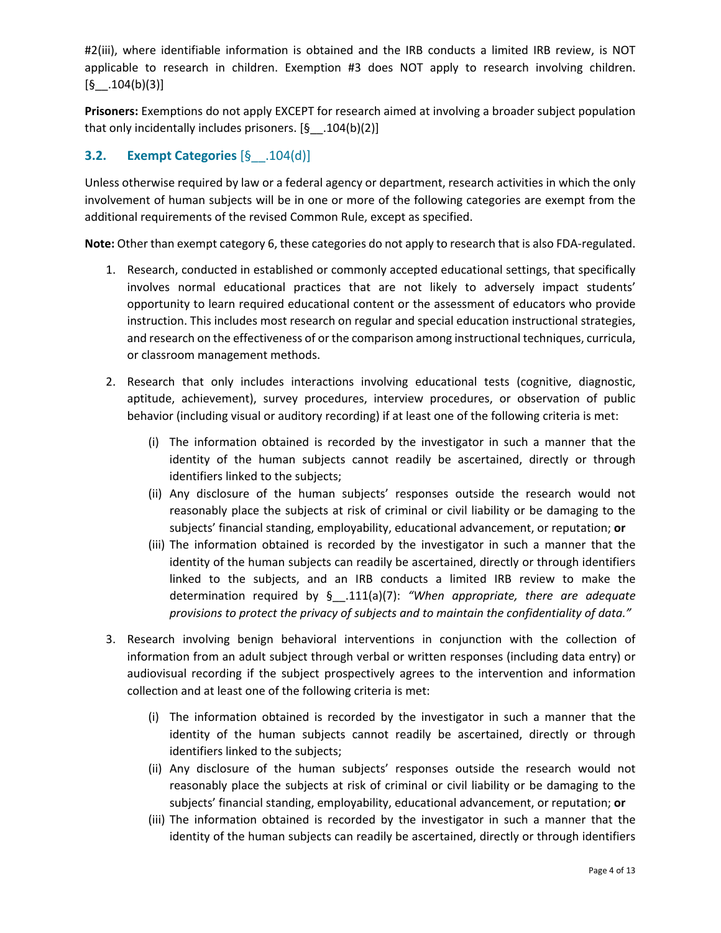#2(iii), where identifiable information is obtained and the IRB conducts a limited IRB review, is NOT applicable to research in children. Exemption #3 does NOT apply to research involving children.  $[§$  . 104(b)(3)]

**Prisoners:** Exemptions do not apply EXCEPT for research aimed at involving a broader subject population that only incidentally includes prisoners. [§\_\_.104(b)(2)]

# **3.2. Exempt Categories** [§\_\_.104(d)]

Unless otherwise required by law or a federal agency or department, research activities in which the only involvement of human subjects will be in one or more of the following categories are exempt from the additional requirements of the revised Common Rule, except as specified.

**Note:** Other than exempt category 6, these categories do not apply to research that is also FDA-regulated.

- 1. Research, conducted in established or commonly accepted educational settings, that specifically involves normal educational practices that are not likely to adversely impact students' opportunity to learn required educational content or the assessment of educators who provide instruction. This includes most research on regular and special education instructional strategies, and research on the effectiveness of or the comparison among instructional techniques, curricula, or classroom management methods.
- 2. Research that only includes interactions involving educational tests (cognitive, diagnostic, aptitude, achievement), survey procedures, interview procedures, or observation of public behavior (including visual or auditory recording) if at least one of the following criteria is met:
	- (i) The information obtained is recorded by the investigator in such a manner that the identity of the human subjects cannot readily be ascertained, directly or through identifiers linked to the subjects;
	- (ii) Any disclosure of the human subjects' responses outside the research would not reasonably place the subjects at risk of criminal or civil liability or be damaging to the subjects' financial standing, employability, educational advancement, or reputation; **or**
	- (iii) The information obtained is recorded by the investigator in such a manner that the identity of the human subjects can readily be ascertained, directly or through identifiers linked to the subjects, and an IRB conducts a limited IRB review to make the determination required by §\_\_.111(a)(7): *"When appropriate, there are adequate provisions to protect the privacy of subjects and to maintain the confidentiality of data."*
- 3. Research involving benign behavioral interventions in conjunction with the collection of information from an adult subject through verbal or written responses (including data entry) or audiovisual recording if the subject prospectively agrees to the intervention and information collection and at least one of the following criteria is met:
	- (i) The information obtained is recorded by the investigator in such a manner that the identity of the human subjects cannot readily be ascertained, directly or through identifiers linked to the subjects;
	- (ii) Any disclosure of the human subjects' responses outside the research would not reasonably place the subjects at risk of criminal or civil liability or be damaging to the subjects' financial standing, employability, educational advancement, or reputation; **or**
	- (iii) The information obtained is recorded by the investigator in such a manner that the identity of the human subjects can readily be ascertained, directly or through identifiers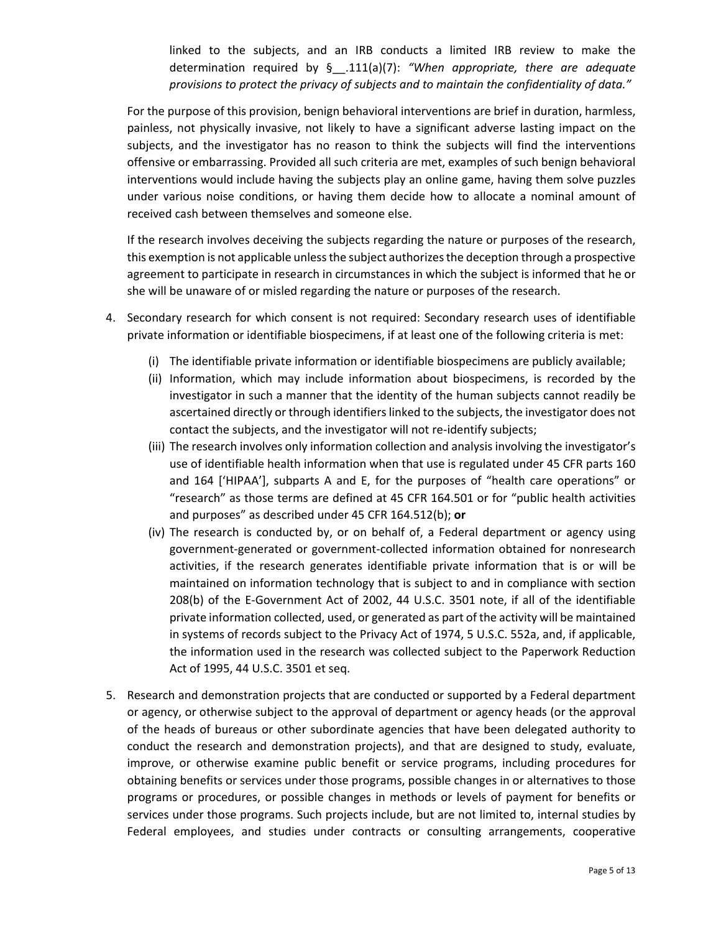linked to the subjects, and an IRB conducts a limited IRB review to make the determination required by §\_\_.111(a)(7): *"When appropriate, there are adequate provisions to protect the privacy of subjects and to maintain the confidentiality of data."*

For the purpose of this provision, benign behavioral interventions are brief in duration, harmless, painless, not physically invasive, not likely to have a significant adverse lasting impact on the subjects, and the investigator has no reason to think the subjects will find the interventions offensive or embarrassing. Provided all such criteria are met, examples of such benign behavioral interventions would include having the subjects play an online game, having them solve puzzles under various noise conditions, or having them decide how to allocate a nominal amount of received cash between themselves and someone else.

If the research involves deceiving the subjects regarding the nature or purposes of the research, this exemption is not applicable unless the subject authorizes the deception through a prospective agreement to participate in research in circumstances in which the subject is informed that he or she will be unaware of or misled regarding the nature or purposes of the research.

- 4. Secondary research for which consent is not required: Secondary research uses of identifiable private information or identifiable biospecimens, if at least one of the following criteria is met:
	- (i) The identifiable private information or identifiable biospecimens are publicly available;
	- (ii) Information, which may include information about biospecimens, is recorded by the investigator in such a manner that the identity of the human subjects cannot readily be ascertained directly or through identifiers linked to the subjects, the investigator does not contact the subjects, and the investigator will not re-identify subjects;
	- (iii) The research involves only information collection and analysis involving the investigator's use of identifiable health information when that use is regulated under 45 CFR parts 160 and 164 ['HIPAA'], subparts A and E, for the purposes of "health care operations" or "research" as those terms are defined at 45 CFR 164.501 or for "public health activities and purposes" as described under 45 CFR 164.512(b); **or**
	- (iv) The research is conducted by, or on behalf of, a Federal department or agency using government-generated or government-collected information obtained for nonresearch activities, if the research generates identifiable private information that is or will be maintained on information technology that is subject to and in compliance with section 208(b) of the E-Government Act of 2002, 44 U.S.C. 3501 note, if all of the identifiable private information collected, used, or generated as part of the activity will be maintained in systems of records subject to the Privacy Act of 1974, 5 U.S.C. 552a, and, if applicable, the information used in the research was collected subject to the Paperwork Reduction Act of 1995, 44 U.S.C. 3501 et seq.
- 5. Research and demonstration projects that are conducted or supported by a Federal department or agency, or otherwise subject to the approval of department or agency heads (or the approval of the heads of bureaus or other subordinate agencies that have been delegated authority to conduct the research and demonstration projects), and that are designed to study, evaluate, improve, or otherwise examine public benefit or service programs, including procedures for obtaining benefits or services under those programs, possible changes in or alternatives to those programs or procedures, or possible changes in methods or levels of payment for benefits or services under those programs. Such projects include, but are not limited to, internal studies by Federal employees, and studies under contracts or consulting arrangements, cooperative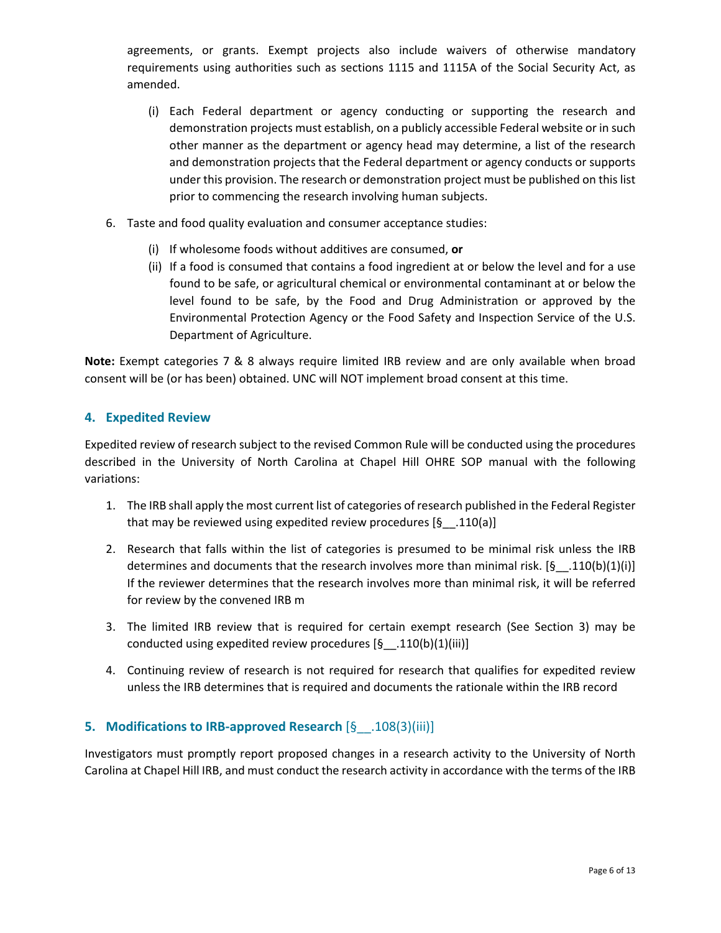agreements, or grants. Exempt projects also include waivers of otherwise mandatory requirements using authorities such as sections 1115 and 1115A of the Social Security Act, as amended.

- (i) Each Federal department or agency conducting or supporting the research and demonstration projects must establish, on a publicly accessible Federal website or in such other manner as the department or agency head may determine, a list of the research and demonstration projects that the Federal department or agency conducts or supports under this provision. The research or demonstration project must be published on this list prior to commencing the research involving human subjects.
- 6. Taste and food quality evaluation and consumer acceptance studies:
	- (i) If wholesome foods without additives are consumed, **or**
	- (ii) If a food is consumed that contains a food ingredient at or below the level and for a use found to be safe, or agricultural chemical or environmental contaminant at or below the level found to be safe, by the Food and Drug Administration or approved by the Environmental Protection Agency or the Food Safety and Inspection Service of the U.S. Department of Agriculture.

**Note:** Exempt categories 7 & 8 always require limited IRB review and are only available when broad consent will be (or has been) obtained. UNC will NOT implement broad consent at this time.

# **4. Expedited Review**

Expedited review of research subject to the revised Common Rule will be conducted using the procedures described in the University of North Carolina at Chapel Hill OHRE SOP manual with the following variations:

- 1. The IRB shall apply the most current list of categories of research published in the Federal Register that may be reviewed using expedited review procedures  $[6 \quad .110(a)]$
- 2. Research that falls within the list of categories is presumed to be minimal risk unless the IRB determines and documents that the research involves more than minimal risk.  $[6 \quad .110(b)(1)(i)]$ If the reviewer determines that the research involves more than minimal risk, it will be referred for review by the convened IRB m
- 3. The limited IRB review that is required for certain exempt research (See Section 3) may be conducted using expedited review procedures [§\_\_.110(b)(1)(iii)]
- 4. Continuing review of research is not required for research that qualifies for expedited review unless the IRB determines that is required and documents the rationale within the IRB record

# **5. Modifications to IRB-approved Research** [§\_\_.108(3)(iii)]

Investigators must promptly report proposed changes in a research activity to the University of North Carolina at Chapel Hill IRB, and must conduct the research activity in accordance with the terms of the IRB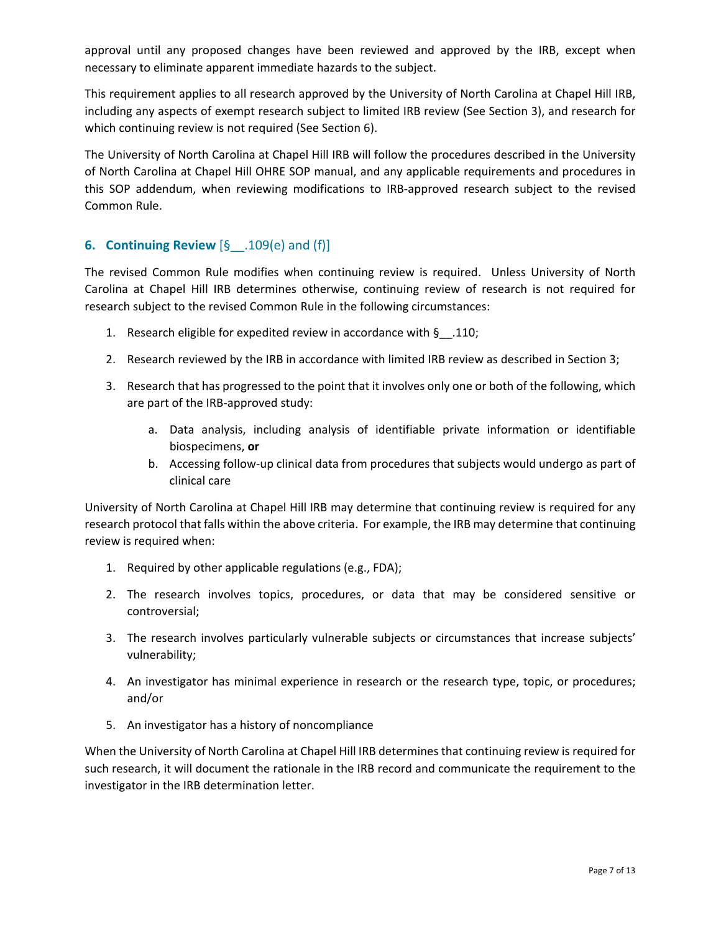approval until any proposed changes have been reviewed and approved by the IRB, except when necessary to eliminate apparent immediate hazards to the subject.

This requirement applies to all research approved by the University of North Carolina at Chapel Hill IRB, including any aspects of exempt research subject to limited IRB review (See Section 3), and research for which continuing review is not required (See Section 6).

The University of North Carolina at Chapel Hill IRB will follow the procedures described in the University of North Carolina at Chapel Hill OHRE SOP manual, and any applicable requirements and procedures in this SOP addendum, when reviewing modifications to IRB-approved research subject to the revised Common Rule.

# **6. Continuing Review** [§\_\_.109(e) and (f)]

The revised Common Rule modifies when continuing review is required. Unless University of North Carolina at Chapel Hill IRB determines otherwise, continuing review of research is not required for research subject to the revised Common Rule in the following circumstances:

- 1. Research eligible for expedited review in accordance with §\_\_.110;
- 2. Research reviewed by the IRB in accordance with limited IRB review as described in Section 3;
- 3. Research that has progressed to the point that it involves only one or both of the following, which are part of the IRB-approved study:
	- a. Data analysis, including analysis of identifiable private information or identifiable biospecimens, **or**
	- b. Accessing follow-up clinical data from procedures that subjects would undergo as part of clinical care

University of North Carolina at Chapel Hill IRB may determine that continuing review is required for any research protocol that falls within the above criteria. For example, the IRB may determine that continuing review is required when:

- 1. Required by other applicable regulations (e.g., FDA);
- 2. The research involves topics, procedures, or data that may be considered sensitive or controversial;
- 3. The research involves particularly vulnerable subjects or circumstances that increase subjects' vulnerability;
- 4. An investigator has minimal experience in research or the research type, topic, or procedures; and/or
- 5. An investigator has a history of noncompliance

When the University of North Carolina at Chapel Hill IRB determines that continuing review is required for such research, it will document the rationale in the IRB record and communicate the requirement to the investigator in the IRB determination letter.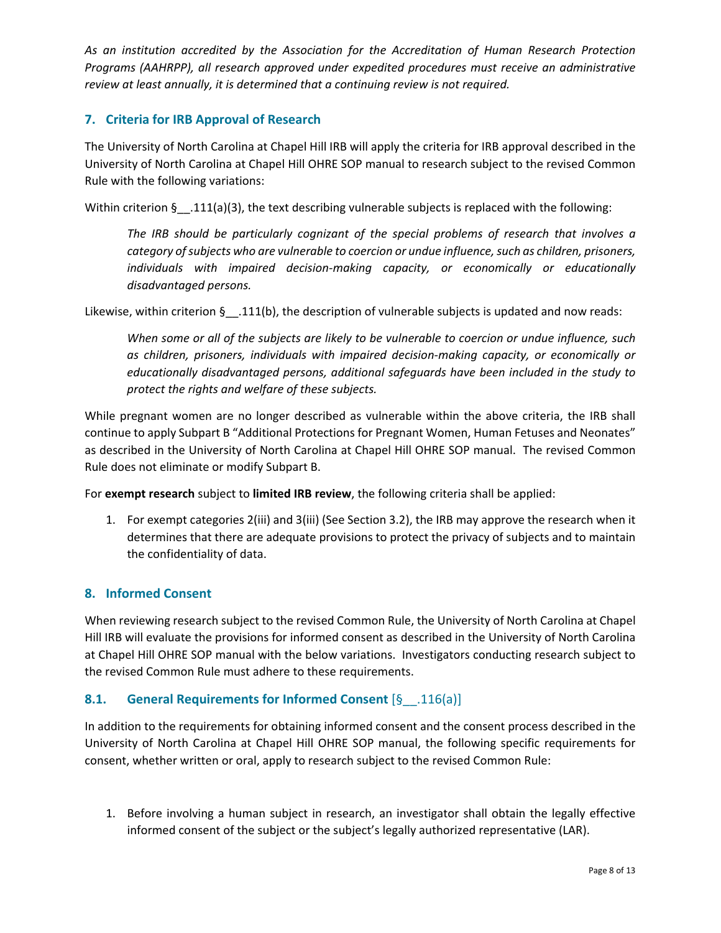*As an institution accredited by the Association for the Accreditation of Human Research Protection Programs (AAHRPP), all research approved under expedited procedures must receive an administrative review at least annually, it is determined that a continuing review is not required.*

# **7. Criteria for IRB Approval of Research**

The University of North Carolina at Chapel Hill IRB will apply the criteria for IRB approval described in the University of North Carolina at Chapel Hill OHRE SOP manual to research subject to the revised Common Rule with the following variations:

Within criterion  $\S$  111(a)(3), the text describing vulnerable subjects is replaced with the following:

*The IRB should be particularly cognizant of the special problems of research that involves a category of subjects who are vulnerable to coercion or undue influence, such as children, prisoners, individuals with impaired decision-making capacity, or economically or educationally disadvantaged persons.*

Likewise, within criterion §\_\_\_.111(b), the description of vulnerable subjects is updated and now reads:

*When some or all of the subjects are likely to be vulnerable to coercion or undue influence, such as children, prisoners, individuals with impaired decision-making capacity, or economically or educationally disadvantaged persons, additional safeguards have been included in the study to protect the rights and welfare of these subjects.* 

While pregnant women are no longer described as vulnerable within the above criteria, the IRB shall continue to apply Subpart B "Additional Protections for Pregnant Women, Human Fetuses and Neonates" as described in the University of North Carolina at Chapel Hill OHRE SOP manual. The revised Common Rule does not eliminate or modify Subpart B.

For **exempt research** subject to **limited IRB review**, the following criteria shall be applied:

1. For exempt categories 2(iii) and 3(iii) (See Section 3.2), the IRB may approve the research when it determines that there are adequate provisions to protect the privacy of subjects and to maintain the confidentiality of data.

# **8. Informed Consent**

When reviewing research subject to the revised Common Rule, the University of North Carolina at Chapel Hill IRB will evaluate the provisions for informed consent as described in the University of North Carolina at Chapel Hill OHRE SOP manual with the below variations. Investigators conducting research subject to the revised Common Rule must adhere to these requirements.

# **8.1. General Requirements for Informed Consent** [§\_\_.116(a)]

In addition to the requirements for obtaining informed consent and the consent process described in the University of North Carolina at Chapel Hill OHRE SOP manual, the following specific requirements for consent, whether written or oral, apply to research subject to the revised Common Rule:

1. Before involving a human subject in research, an investigator shall obtain the legally effective informed consent of the subject or the subject's legally authorized representative (LAR).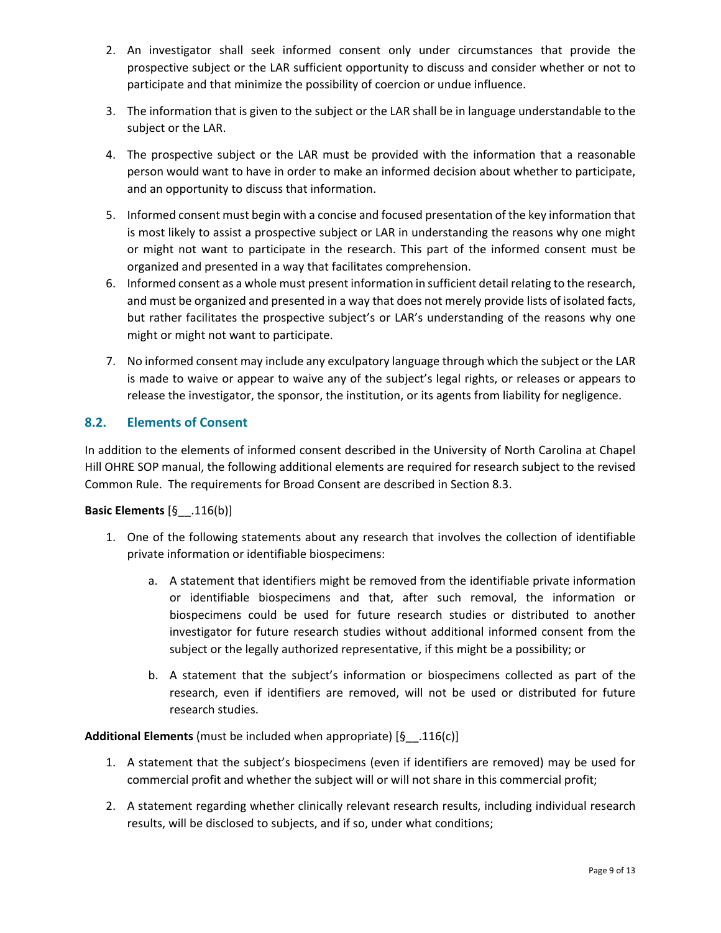- 2. An investigator shall seek informed consent only under circumstances that provide the prospective subject or the LAR sufficient opportunity to discuss and consider whether or not to participate and that minimize the possibility of coercion or undue influence.
- 3. The information that is given to the subject or the LAR shall be in language understandable to the subject or the LAR.
- 4. The prospective subject or the LAR must be provided with the information that a reasonable person would want to have in order to make an informed decision about whether to participate, and an opportunity to discuss that information.
- 5. Informed consent must begin with a concise and focused presentation of the key information that is most likely to assist a prospective subject or LAR in understanding the reasons why one might or might not want to participate in the research. This part of the informed consent must be organized and presented in a way that facilitates comprehension.
- 6. Informed consent as a whole must present information in sufficient detail relating to the research, and must be organized and presented in a way that does not merely provide lists of isolated facts, but rather facilitates the prospective subject's or LAR's understanding of the reasons why one might or might not want to participate.
- 7. No informed consent may include any exculpatory language through which the subject or the LAR is made to waive or appear to waive any of the subject's legal rights, or releases or appears to release the investigator, the sponsor, the institution, or its agents from liability for negligence.

# **8.2. Elements of Consent**

In addition to the elements of informed consent described in the University of North Carolina at Chapel Hill OHRE SOP manual, the following additional elements are required for research subject to the revised Common Rule. The requirements for Broad Consent are described in Section 8.3.

#### **Basic Elements** [§\_\_.116(b)]

- 1. One of the following statements about any research that involves the collection of identifiable private information or identifiable biospecimens:
	- a. A statement that identifiers might be removed from the identifiable private information or identifiable biospecimens and that, after such removal, the information or biospecimens could be used for future research studies or distributed to another investigator for future research studies without additional informed consent from the subject or the legally authorized representative, if this might be a possibility; or
	- b. A statement that the subject's information or biospecimens collected as part of the research, even if identifiers are removed, will not be used or distributed for future research studies.

#### **Additional Elements** (must be included when appropriate) [§\_\_.116(c)]

- 1. A statement that the subject's biospecimens (even if identifiers are removed) may be used for commercial profit and whether the subject will or will not share in this commercial profit;
- 2. A statement regarding whether clinically relevant research results, including individual research results, will be disclosed to subjects, and if so, under what conditions;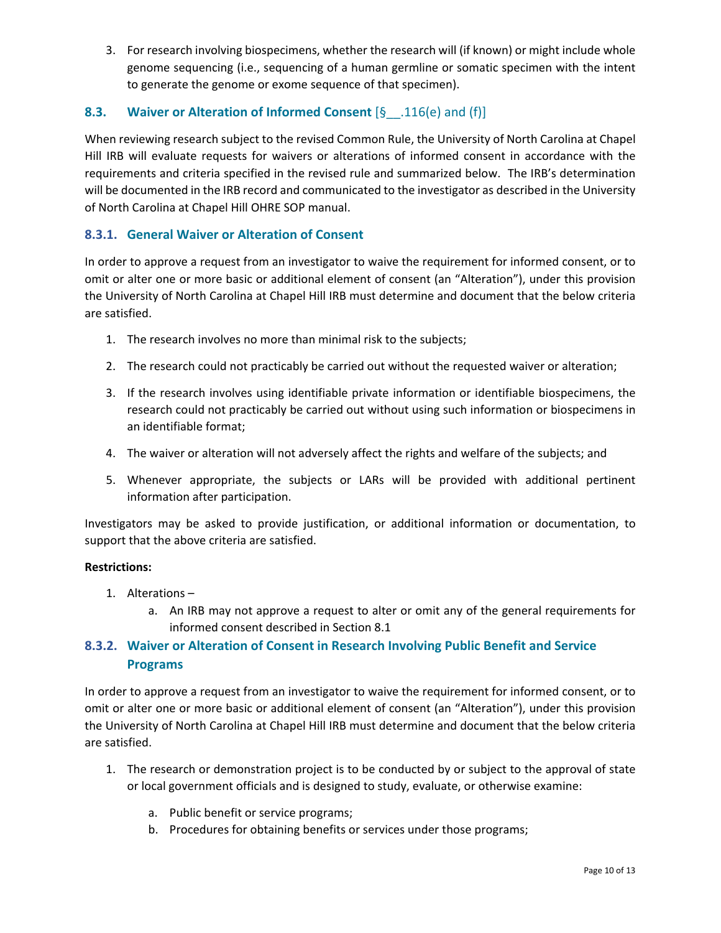3. For research involving biospecimens, whether the research will (if known) or might include whole genome sequencing (i.e., sequencing of a human germline or somatic specimen with the intent to generate the genome or exome sequence of that specimen).

# **8.3. Waiver or Alteration of Informed Consent** [§\_\_.116(e) and (f)]

When reviewing research subject to the revised Common Rule, the University of North Carolina at Chapel Hill IRB will evaluate requests for waivers or alterations of informed consent in accordance with the requirements and criteria specified in the revised rule and summarized below. The IRB's determination will be documented in the IRB record and communicated to the investigator as described in the University of North Carolina at Chapel Hill OHRE SOP manual.

### **8.3.1. General Waiver or Alteration of Consent**

In order to approve a request from an investigator to waive the requirement for informed consent, or to omit or alter one or more basic or additional element of consent (an "Alteration"), under this provision the University of North Carolina at Chapel Hill IRB must determine and document that the below criteria are satisfied.

- 1. The research involves no more than minimal risk to the subjects;
- 2. The research could not practicably be carried out without the requested waiver or alteration;
- 3. If the research involves using identifiable private information or identifiable biospecimens, the research could not practicably be carried out without using such information or biospecimens in an identifiable format;
- 4. The waiver or alteration will not adversely affect the rights and welfare of the subjects; and
- 5. Whenever appropriate, the subjects or LARs will be provided with additional pertinent information after participation.

Investigators may be asked to provide justification, or additional information or documentation, to support that the above criteria are satisfied.

#### **Restrictions:**

- 1. Alterations
	- a. An IRB may not approve a request to alter or omit any of the general requirements for informed consent described in Section 8.1

# **8.3.2. Waiver or Alteration of Consent in Research Involving Public Benefit and Service Programs**

In order to approve a request from an investigator to waive the requirement for informed consent, or to omit or alter one or more basic or additional element of consent (an "Alteration"), under this provision the University of North Carolina at Chapel Hill IRB must determine and document that the below criteria are satisfied.

- 1. The research or demonstration project is to be conducted by or subject to the approval of state or local government officials and is designed to study, evaluate, or otherwise examine:
	- a. Public benefit or service programs;
	- b. Procedures for obtaining benefits or services under those programs;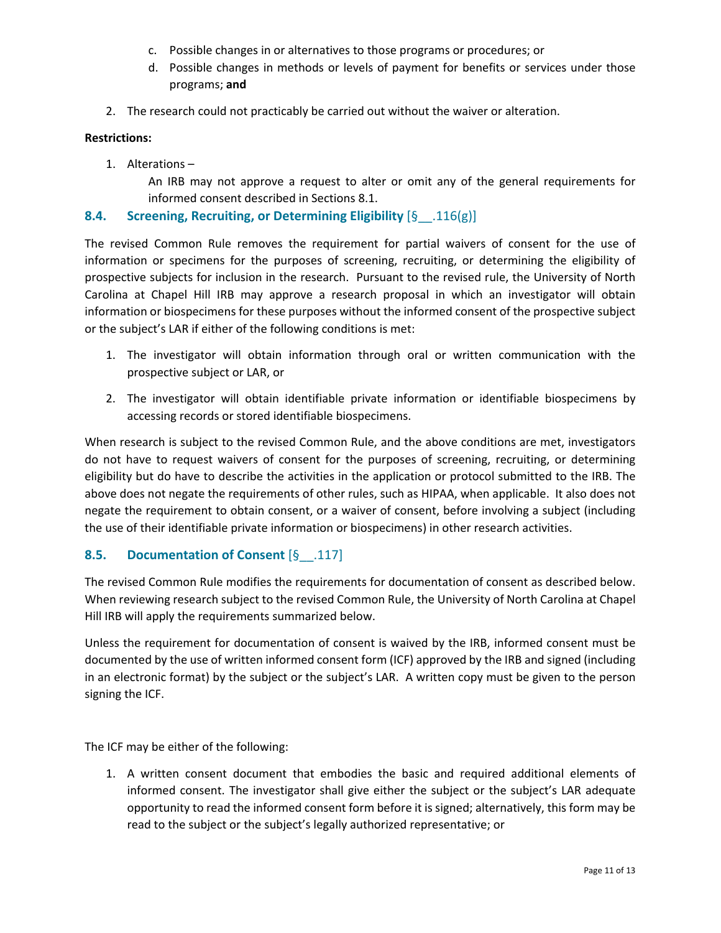- c. Possible changes in or alternatives to those programs or procedures; or
- d. Possible changes in methods or levels of payment for benefits or services under those programs; **and**
- 2. The research could not practicably be carried out without the waiver or alteration.

#### **Restrictions:**

1. Alterations –

An IRB may not approve a request to alter or omit any of the general requirements for informed consent described in Sections 8.1.

#### **8.4. Screening, Recruiting, or Determining Eligibility** [§\_\_.116(g)]

The revised Common Rule removes the requirement for partial waivers of consent for the use of information or specimens for the purposes of screening, recruiting, or determining the eligibility of prospective subjects for inclusion in the research. Pursuant to the revised rule, the University of North Carolina at Chapel Hill IRB may approve a research proposal in which an investigator will obtain information or biospecimens for these purposes without the informed consent of the prospective subject or the subject's LAR if either of the following conditions is met:

- 1. The investigator will obtain information through oral or written communication with the prospective subject or LAR, or
- 2. The investigator will obtain identifiable private information or identifiable biospecimens by accessing records or stored identifiable biospecimens.

When research is subject to the revised Common Rule, and the above conditions are met, investigators do not have to request waivers of consent for the purposes of screening, recruiting, or determining eligibility but do have to describe the activities in the application or protocol submitted to the IRB. The above does not negate the requirements of other rules, such as HIPAA, when applicable. It also does not negate the requirement to obtain consent, or a waiver of consent, before involving a subject (including the use of their identifiable private information or biospecimens) in other research activities.

#### **8.5. Documentation of Consent** [§\_\_.117]

The revised Common Rule modifies the requirements for documentation of consent as described below. When reviewing research subject to the revised Common Rule, the University of North Carolina at Chapel Hill IRB will apply the requirements summarized below.

Unless the requirement for documentation of consent is waived by the IRB, informed consent must be documented by the use of written informed consent form (ICF) approved by the IRB and signed (including in an electronic format) by the subject or the subject's LAR. A written copy must be given to the person signing the ICF.

The ICF may be either of the following:

1. A written consent document that embodies the basic and required additional elements of informed consent. The investigator shall give either the subject or the subject's LAR adequate opportunity to read the informed consent form before it is signed; alternatively, this form may be read to the subject or the subject's legally authorized representative; or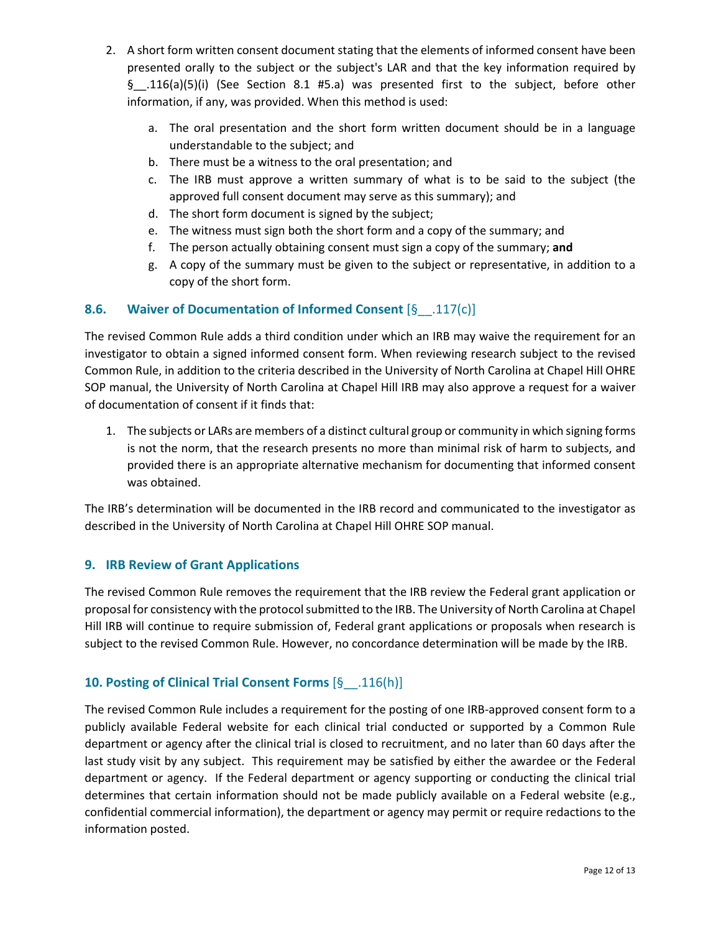- 2. A short form written consent document stating that the elements of informed consent have been presented orally to the subject or the subject's LAR and that the key information required by §\_\_.116(a)(5)(i) (See Section 8.1 #5.a) was presented first to the subject, before other information, if any, was provided. When this method is used:
	- a. The oral presentation and the short form written document should be in a language understandable to the subject; and
	- b. There must be a witness to the oral presentation; and
	- c. The IRB must approve a written summary of what is to be said to the subject (the approved full consent document may serve as this summary); and
	- d. The short form document is signed by the subject;
	- e. The witness must sign both the short form and a copy of the summary; and
	- f. The person actually obtaining consent must sign a copy of the summary; **and**
	- g. A copy of the summary must be given to the subject or representative, in addition to a copy of the short form.

### **8.6. Waiver of Documentation of Informed Consent** [§\_\_.117(c)]

The revised Common Rule adds a third condition under which an IRB may waive the requirement for an investigator to obtain a signed informed consent form. When reviewing research subject to the revised Common Rule, in addition to the criteria described in the University of North Carolina at Chapel Hill OHRE SOP manual, the University of North Carolina at Chapel Hill IRB may also approve a request for a waiver of documentation of consent if it finds that:

1. The subjects or LARs are members of a distinct cultural group or community in which signing forms is not the norm, that the research presents no more than minimal risk of harm to subjects, and provided there is an appropriate alternative mechanism for documenting that informed consent was obtained.

The IRB's determination will be documented in the IRB record and communicated to the investigator as described in the University of North Carolina at Chapel Hill OHRE SOP manual.

#### **9. IRB Review of Grant Applications**

The revised Common Rule removes the requirement that the IRB review the Federal grant application or proposal for consistency with the protocol submitted to the IRB. The University of North Carolina at Chapel Hill IRB will continue to require submission of, Federal grant applications or proposals when research is subject to the revised Common Rule. However, no concordance determination will be made by the IRB.

# **10. Posting of Clinical Trial Consent Forms** [§\_\_.116(h)]

The revised Common Rule includes a requirement for the posting of one IRB-approved consent form to a publicly available Federal website for each clinical trial conducted or supported by a Common Rule department or agency after the clinical trial is closed to recruitment, and no later than 60 days after the last study visit by any subject. This requirement may be satisfied by either the awardee or the Federal department or agency. If the Federal department or agency supporting or conducting the clinical trial determines that certain information should not be made publicly available on a Federal website (e.g., confidential commercial information), the department or agency may permit or require redactions to the information posted.